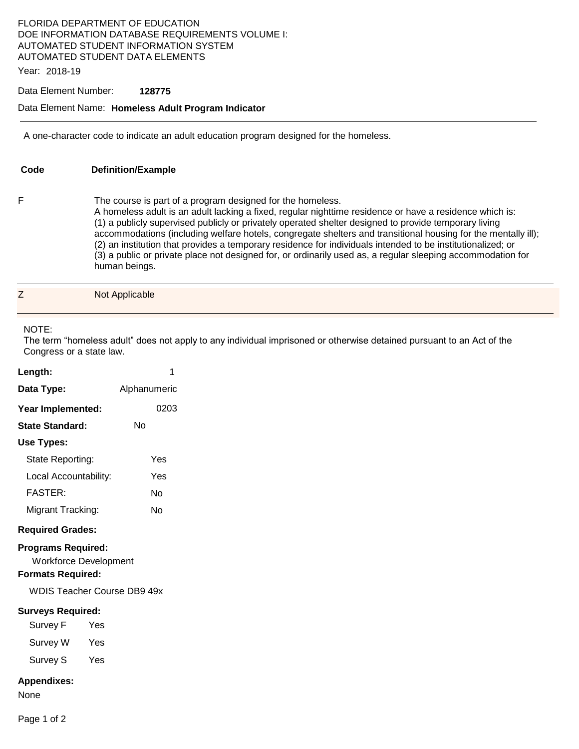# FLORIDA DEPARTMENT OF EDUCATION DOE INFORMATION DATABASE REQUIREMENTS VOLUME I: AUTOMATED STUDENT INFORMATION SYSTEM AUTOMATED STUDENT DATA ELEMENTS

Year: 2018-19

#### Data Element Number: **128775**

#### Data Element Name: **Homeless Adult Program Indicator**

A one-character code to indicate an adult education program designed for the homeless.

| Code | <b>Definition/Example</b>                                                                                                                                                                                                                                                                                                                                                                                                                                                                                                                                                                                                                      |
|------|------------------------------------------------------------------------------------------------------------------------------------------------------------------------------------------------------------------------------------------------------------------------------------------------------------------------------------------------------------------------------------------------------------------------------------------------------------------------------------------------------------------------------------------------------------------------------------------------------------------------------------------------|
| F    | The course is part of a program designed for the homeless.<br>A homeless adult is an adult lacking a fixed, regular nighttime residence or have a residence which is:<br>(1) a publicly supervised publicly or privately operated shelter designed to provide temporary living<br>accommodations (including welfare hotels, congregate shelters and transitional housing for the mentally ill);<br>(2) an institution that provides a temporary residence for individuals intended to be institutionalized; or<br>(3) a public or private place not designed for, or ordinarily used as, a regular sleeping accommodation for<br>human beings. |

| ⇁<br>$\overline{\phantom{0}}$ | Not Applicable |
|-------------------------------|----------------|
|                               |                |

## NOTE:

The term "homeless adult" does not apply to any individual imprisoned or otherwise detained pursuant to an Act of the Congress or a state law.

| Length:                                                                                                                     | 1            |  |  |  |
|-----------------------------------------------------------------------------------------------------------------------------|--------------|--|--|--|
| Data Type:                                                                                                                  | Alphanumeric |  |  |  |
| Year Implemented:                                                                                                           | 0203         |  |  |  |
| <b>State Standard:</b>                                                                                                      | Nο           |  |  |  |
| Use Types:                                                                                                                  |              |  |  |  |
| State Reporting:                                                                                                            | Yes          |  |  |  |
| Local Accountability:                                                                                                       | Yes          |  |  |  |
| <b>FASTER:</b>                                                                                                              | Nο           |  |  |  |
| Migrant Tracking:                                                                                                           | N٥           |  |  |  |
| <b>Required Grades:</b>                                                                                                     |              |  |  |  |
| <b>Programs Required:</b><br><b>Workforce Development</b><br><b>Formats Required:</b><br><b>WDIS Teacher Course DB9 49x</b> |              |  |  |  |
| <b>Surveys Required:</b>                                                                                                    |              |  |  |  |
| Survey F                                                                                                                    | Yes          |  |  |  |
| Survey W                                                                                                                    | Yes          |  |  |  |
| Survey S                                                                                                                    | Yes          |  |  |  |
| <b>Appendixes:</b><br>None                                                                                                  |              |  |  |  |
| Page 1 of 2                                                                                                                 |              |  |  |  |